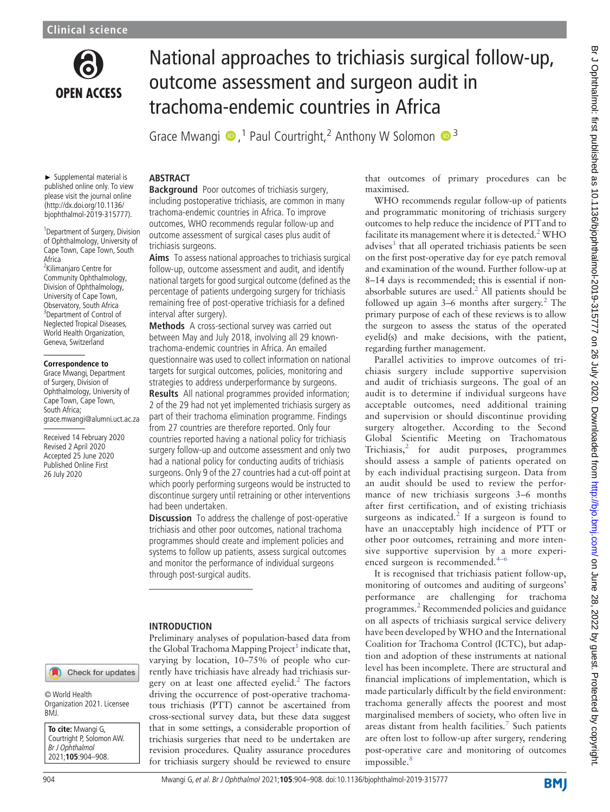

# National approaches to trichiasis surgical follow-up, outcome assessment and surgeon audit in trachoma-endemic countries in Africa

Grace Mwangi  $\bullet$ ,<sup>1</sup> Paul Courtright,<sup>2</sup> Anthony W Solomon  $\bullet$ <sup>3</sup>

► Supplemental material is published online only. To view please visit the journal online [\(http://dx.doi.org/10.1136/](http://dx.doi.org/10.1136/bjophthalmol-2019-315777) [bjophthalmol-2019-315777](http://dx.doi.org/10.1136/bjophthalmol-2019-315777)).

<sup>1</sup> Department of Surgery, Division of Ophthalmology, University of Cape Town, Cape Town, South Africa

<sup>2</sup>Kilimanjaro Centre for Community Ophthalmology, Division of Ophthalmology, University of Cape Town, Observatory, South Africa <sup>3</sup>Department of Control of Neglected Tropical Diseases, World Health Organization, Geneva, Switzerland

### **Correspondence to**

Grace Mwangi, Department of Surgery, Division of Ophthalmology, University of Cape Town, Cape Town, South Africa; [grace.mwangi@alumni.uct.ac.za](mailto:grace.mwangi@alumni.uct.ac.za)

Received 14 February 2020 Revised 2 April 2020 Accepted 25 June 2020 Published Online First 26 July 2020

# ABSTRACT

**Background** Poor outcomes of trichiasis surgery, including postoperative trichiasis, are common in many trachoma-endemic countries in Africa. To improve outcomes, WHO recommends regular follow-up and outcome assessment of surgical cases plus audit of trichiasis surgeons.

Aims To assess national approaches to trichiasis surgical follow-up, outcome assessment and audit, and identify national targets for good surgical outcome (defined as the percentage of patients undergoing surgery for trichiasis remaining free of post-operative trichiasis for a defined interval after surgery).

Methods A cross-sectional survey was carried out between May and July 2018, involving all 29 knowntrachoma-endemic countries in Africa. An emailed questionnaire was used to collect information on national targets for surgical outcomes, policies, monitoring and strategies to address underperformance by surgeons.

Results All national programmes provided information; 2 of the 29 had not yet implemented trichiasis surgery as part of their trachoma elimination programme. Findings from 27 countries are therefore reported. Only four countries reported having a national policy for trichiasis surgery follow-up and outcome assessment and only two had a national policy for conducting audits of trichiasis surgeons. Only 9 of the 27 countries had a cut-off point at which poorly performing surgeons would be instructed to discontinue surgery until retraining or other interventions had been undertaken.

**Discussion** To address the challenge of post-operative trichiasis and other poor outcomes, national trachoma programmes should create and implement policies and systems to follow up patients, assess surgical outcomes and monitor the performance of individual surgeons through post-surgical audits.

### INTRODUCTION

Preliminary analyses of population-based data from the Global Trachoma Mapping  $Project<sup>1</sup>$  indicate that, varying by location, 10–75% of people who currently have trichiasis have already had trichiasis surgery on at least one affected eyelid. $<sup>2</sup>$  The factors</sup> driving the occurrence of post-operative trachomatous trichiasis (PTT) cannot be ascertained from cross-sectional survey data, but these data suggest that in some settings, a considerable proportion of trichiasis surgeries that need to be undertaken are revision procedures. Quality assurance procedures for trichiasis surgery should be reviewed to ensure that outcomes of primary procedures can be maximised.

WHO recommends regular follow-up of patients and programmatic monitoring of trichiasis surgery outcomes to help reduce the incidence of PTTand to facilitate its management where it is detected. $2$  WHO advises $3$  that all operated trichiasis patients be seen on the first post-operative day for eye patch removal and examination of the wound. Further follow-up at 8–14 days is recommended; this is essential if nonabsorbable sutures are used. $<sup>2</sup>$  All patients should be</sup> followed up again  $3-6$  months after surgery.<sup>2</sup> The primary purpose of each of these reviews is to allow the surgeon to assess the status of the operated eyelid(s) and make decisions, with the patient, regarding further management.

Parallel activities to improve outcomes of trichiasis surgery include supportive supervision and audit of trichiasis surgeons. The goal of an audit is to determine if individual surgeons have acceptable outcomes, need additional training and supervision or should discontinue providing surgery altogether. According to the Second Global Scientific Meeting on Trachomatous Trichiasis, $2$  for audit purposes, programmes should assess a sample of patients operated on by each individual practising surgeon. Data from an audit should be used to review the performance of new trichiasis surgeons 3–6 months after first certification, and of existing trichiasis surgeons as indicated.<sup>2</sup> If a surgeon is found to have an unacceptably high incidence of PTT or other poor outcomes, retraining and more intensive supportive supervision by a more experienced surgeon is recommended.<sup>4-6</sup>

It is recognised that trichiasis patient follow-up, monitoring of outcomes and auditing of surgeons' performance are challenging for trachoma programmes.<sup>2</sup> Recommended policies and guidance on all aspects of trichiasis surgical service delivery have been developed by WHO and the International Coalition for Trachoma Control (ICTC), but adaption and adoption of these instruments at national level has been incomplete. There are structural and financial implications of implementation, which is made particularly difficult by the field environment: trachoma generally affects the poorest and most marginalised members of society, who often live in areas distant from health facilities.<sup>7</sup> Such patients are often lost to follow-up after surgery, rendering post-operative care and monitoring of outcomes impossible.<sup>8</sup>

© World Health Organization 2021. Licensee BMJ.

**To cite:** Mwangi G, Courtright P, Solomon AW. Br J Ophthalmol 2021;**105**:904–908.

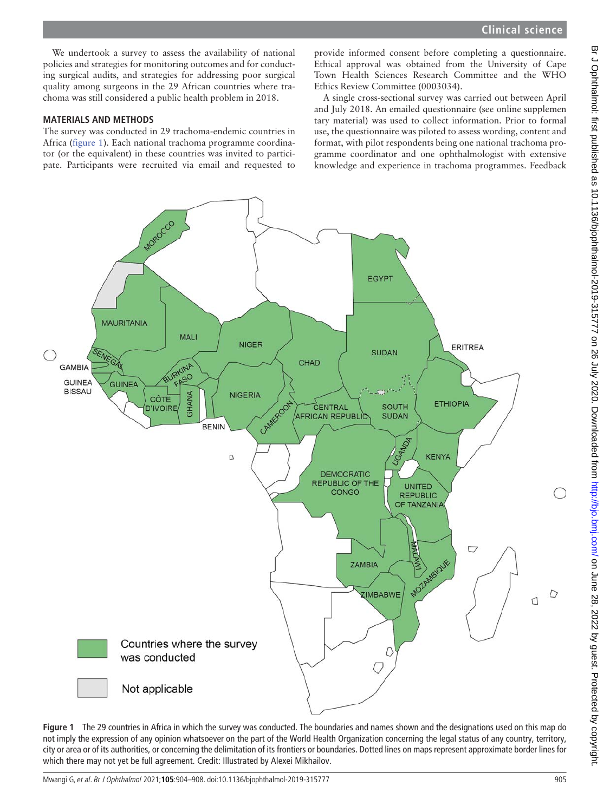We undertook a survey to assess the availability of national policies and strategies for monitoring outcomes and for conducting surgical audits, and strategies for addressing poor surgical quality among surgeons in the 29 African countries where trachoma was still considered a public health problem in 2018.

### MATERIALS AND METHODS

The survey was conducted in 29 trachoma-endemic countries in Africa (figure 1). Each national trachoma programme coordinator (or the equivalent) in these countries was invited to participate. Participants were recruited via email and requested to

provide informed consent before completing a questionnaire. Ethical approval was obtained from the University of Cape Town Health Sciences Research Committee and the WHO Ethics Review Committee (0003034).

A single cross-sectional survey was carried out between April and July 2018. An emailed questionnaire (see online [supplemen](https://dx.doi.org/10.1136/bjophthalmol-2019-315777) [tary material\)](https://dx.doi.org/10.1136/bjophthalmol-2019-315777) was used to collect information. Prior to formal use, the questionnaire was piloted to assess wording, content and format, with pilot respondents being one national trachoma programme coordinator and one ophthalmologist with extensive knowledge and experience in trachoma programmes. Feedback



Figure 1 The 29 countries in Africa in which the survey was conducted. The boundaries and names shown and the designations used on this map do not imply the expression of any opinion whatsoever on the part of the World Health Organization concerning the legal status of any country, territory, city or area or of its authorities, or concerning the delimitation of its frontiers or boundaries. Dotted lines on maps represent approximate border lines for which there may not yet be full agreement. Credit: Illustrated by Alexei Mikhailov.

Br J Ophthalmol: first published as 10.1136/bjophthalmol-2019-315777 on 26 July 2020. Downloaded from http://bjo.bmj.com/ on June 28, 2022 by guest. Protected by copyright. Br Johnalmol: first published as 10.1136/bjohthalmol-2019-315777 on 26 July 2020. Downloaded from <http://bjo.bmj.com/> on June 28, 2022 by guest. Protected by copyright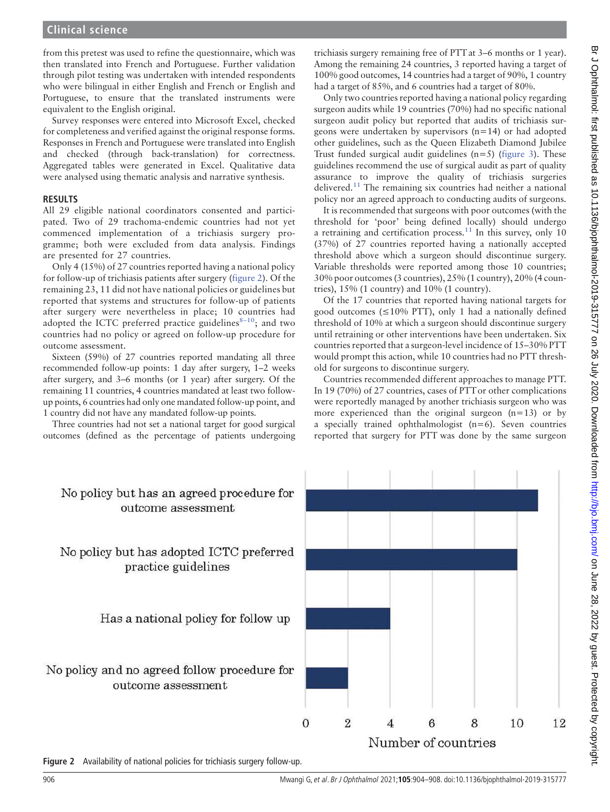# **Clinical science**

from this pretest was used to refine the questionnaire, which was then translated into French and Portuguese. Further validation through pilot testing was undertaken with intended respondents who were bilingual in either English and French or English and Portuguese, to ensure that the translated instruments were equivalent to the English original.

Survey responses were entered into Microsoft Excel, checked for completeness and verified against the original response forms. Responses in French and Portuguese were translated into English and checked (through back-translation) for correctness. Aggregated tables were generated in Excel. Qualitative data were analysed using thematic analysis and narrative synthesis.

### RESULTS

All 29 eligible national coordinators consented and participated. Two of 29 trachoma-endemic countries had not yet commenced implementation of a trichiasis surgery programme; both were excluded from data analysis. Findings are presented for 27 countries.

Only 4 (15%) of 27 countries reported having a national policy for follow-up of trichiasis patients after surgery (figure 2). Of the remaining 23, 11 did not have national policies or guidelines but reported that systems and structures for follow-up of patients after surgery were nevertheless in place; 10 countries had adopted the ICTC preferred practice guidelines $8-10$ ; and two countries had no policy or agreed on follow-up procedure for outcome assessment.

Sixteen (59%) of 27 countries reported mandating all three recommended follow-up points: 1 day after surgery, 1–2 weeks after surgery, and 3–6 months (or 1 year) after surgery. Of the remaining 11 countries, 4 countries mandated at least two followup points, 6 countries had only one mandated follow-up point, and 1 country did not have any mandated follow-up points.

Three countries had not set a national target for good surgical outcomes (defined as the percentage of patients undergoing

trichiasis surgery remaining free of PTT at 3–6 months or 1 year). Among the remaining 24 countries, 3 reported having a target of 100% good outcomes, 14 countries had a target of 90%, 1 country had a target of 85%, and 6 countries had a target of 80%.

Only two countries reported having a national policy regarding surgeon audits while 19 countries (70%) had no specific national surgeon audit policy but reported that audits of trichiasis surgeons were undertaken by supervisors (n=14) or had adopted other guidelines, such as the Queen Elizabeth Diamond Jubilee Trust funded surgical audit guidelines  $(n=5)$  (figure 3). These guidelines recommend the use of surgical audit as part of quality assurance to improve the quality of trichiasis surgeries delivered.<sup>11</sup> The remaining six countries had neither a national policy nor an agreed approach to conducting audits of surgeons.

It is recommended that surgeons with poor outcomes (with the threshold for 'poor' being defined locally) should undergo a retraining and certification process.<sup>11</sup> In this survey, only 10 (37%) of 27 countries reported having a nationally accepted threshold above which a surgeon should discontinue surgery. Variable thresholds were reported among those 10 countries; 30% poor outcomes (3 countries), 25% (1 country), 20% (4 countries), 15% (1 country) and 10% (1 country).

Of the 17 countries that reported having national targets for good outcomes ( $\leq 10\%$  PTT), only 1 had a nationally defined threshold of 10% at which a surgeon should discontinue surgery until retraining or other interventions have been undertaken. Six countries reported that a surgeon-level incidence of 15–30% PTT would prompt this action, while 10 countries had no PTT threshold for surgeons to discontinue surgery.

Countries recommended different approaches to manage PTT. In 19 (70%) of 27 countries, cases of PTT or other complications were reportedly managed by another trichiasis surgeon who was more experienced than the original surgeon  $(n=13)$  or by a specially trained ophthalmologist (n=6). Seven countries reported that surgery for PTT was done by the same surgeon



Figure 2 Availability of national policies for trichiasis surgery follow-up.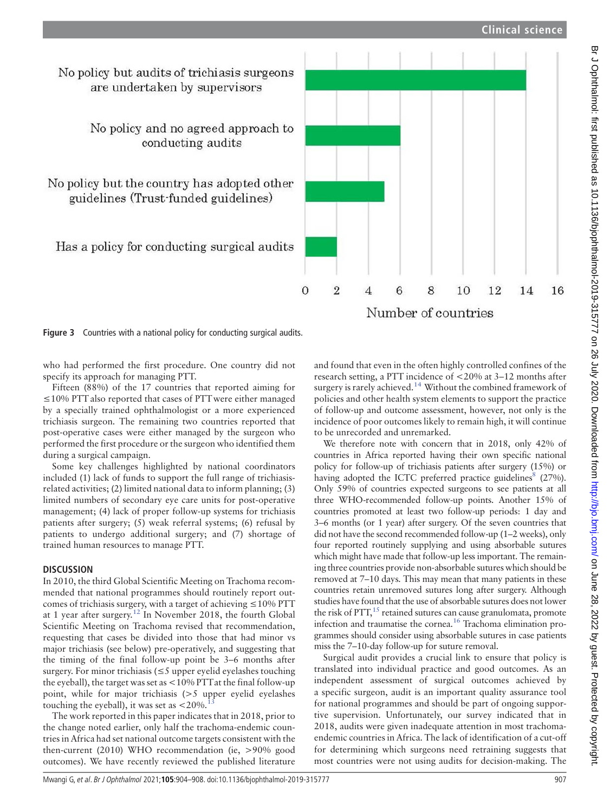16

14

# No policy but audits of trichiasis surgeons are undertaken by supervisors

No policy and no agreed approach to conducting audits

No policy but the country has adopted other guidelines (Trust-funded guidelines)

Has a policy for conducting surgical audits

and found that even in the often highly controlled confines of the research setting, a PTT incidence of <20% at 3–12 months after surgery is rarely achieved.<sup>14</sup> Without the combined framework of policies and other health system elements to support the practice of follow-up and outcome assessment, however, not only is the incidence of poor outcomes likely to remain high, it will continue to be unrecorded and unremarked.

8

Number of countries

10

12

 $\overline{2}$ 

 $\overline{4}$ 

6

 $\Omega$ 

We therefore note with concern that in 2018, only 42% of countries in Africa reported having their own specific national policy for follow-up of trichiasis patients after surgery (15%) or having adopted the ICTC preferred practice guidelines<sup>8</sup> (27%). Only 59% of countries expected surgeons to see patients at all three WHO-recommended follow-up points. Another 15% of countries promoted at least two follow-up periods: 1 day and 3–6 months (or 1 year) after surgery. Of the seven countries that did not have the second recommended follow-up (1–2 weeks), only four reported routinely supplying and using absorbable sutures which might have made that follow-up less important. The remaining three countries provide non-absorbable sutures which should be removed at 7–10 days. This may mean that many patients in these countries retain unremoved sutures long after surgery. Although studies have found that the use of absorbable sutures does not lower the risk of  $PTT$ ,<sup>15</sup> retained sutures can cause granulomata, promote infection and traumatise the cornea.16 Trachoma elimination programmes should consider using absorbable sutures in case patients miss the 7–10-day follow-up for suture removal.

Surgical audit provides a crucial link to ensure that policy is translated into individual practice and good outcomes. As an independent assessment of surgical outcomes achieved by a specific surgeon, audit is an important quality assurance tool for national programmes and should be part of ongoing supportive supervision. Unfortunately, our survey indicated that in 2018, audits were given inadequate attention in most trachomaendemic countries in Africa. The lack of identification of a cut-off for determining which surgeons need retraining suggests that most countries were not using audits for decision-making. The

### Figure 3 Countries with a national policy for conducting surgical audits.

who had performed the first procedure. One country did not specify its approach for managing PTT.

Fifteen (88%) of the 17 countries that reported aiming for ≤10% PTT also reported that cases of PTTwere either managed by a specially trained ophthalmologist or a more experienced trichiasis surgeon. The remaining two countries reported that post-operative cases were either managed by the surgeon who performed the first procedure or the surgeon who identified them during a surgical campaign.

Some key challenges highlighted by national coordinators included (1) lack of funds to support the full range of trichiasisrelated activities; (2) limited national data to inform planning; (3) limited numbers of secondary eye care units for post-operative management; (4) lack of proper follow-up systems for trichiasis patients after surgery; (5) weak referral systems; (6) refusal by patients to undergo additional surgery; and (7) shortage of trained human resources to manage PTT.

# **DISCUSSION**

In 2010, the third Global Scientific Meeting on Trachoma recommended that national programmes should routinely report outcomes of trichiasis surgery, with a target of achieving  $\leq$  10% PTT at 1 year after surgery.12 In November 2018, the fourth Global Scientific Meeting on Trachoma revised that recommendation, requesting that cases be divided into those that had minor vs major trichiasis (see below) pre-operatively, and suggesting that the timing of the final follow-up point be 3–6 months after surgery. For minor trichiasis ( $\leq$ 5 upper eyelid eyelashes touching the eyeball), the target was set as <10% PTTat the final follow-up point, while for major trichiasis (>5 upper eyelid eyelashes touching the eyeball), it was set as  $< 20\%$ .

The work reported in this paper indicates that in 2018, prior to the change noted earlier, only half the trachoma-endemic countries in Africa had set national outcome targets consistent with the then-current (2010) WHO recommendation (ie, >90% good outcomes). We have recently reviewed the published literature